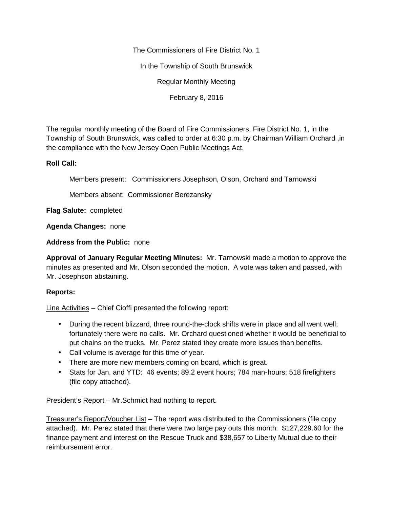The Commissioners of Fire District No. 1

In the Township of South Brunswick

Regular Monthly Meeting

February 8, 2016

The regular monthly meeting of the Board of Fire Commissioners, Fire District No. 1, in the Township of South Brunswick, was called to order at 6:30 p.m. by Chairman William Orchard ,in the compliance with the New Jersey Open Public Meetings Act.

## **Roll Call:**

Members present: Commissioners Josephson, Olson, Orchard and Tarnowski

Members absent: Commissioner Berezansky

**Flag Salute:** completed

**Agenda Changes:** none

**Address from the Public:** none

**Approval of January Regular Meeting Minutes:** Mr. Tarnowski made a motion to approve the minutes as presented and Mr. Olson seconded the motion. A vote was taken and passed, with Mr. Josephson abstaining.

## **Reports:**

Line Activities – Chief Cioffi presented the following report:

- During the recent blizzard, three round-the-clock shifts were in place and all went well; fortunately there were no calls. Mr. Orchard questioned whether it would be beneficial to put chains on the trucks. Mr. Perez stated they create more issues than benefits.
- Call volume is average for this time of year.
- There are more new members coming on board, which is great.
- Stats for Jan. and YTD: 46 events; 89.2 event hours; 784 man-hours; 518 firefighters (file copy attached).

President's Report – Mr.Schmidt had nothing to report.

Treasurer's Report/Voucher List – The report was distributed to the Commissioners (file copy attached). Mr. Perez stated that there were two large pay outs this month: \$127,229.60 for the finance payment and interest on the Rescue Truck and \$38,657 to Liberty Mutual due to their reimbursement error.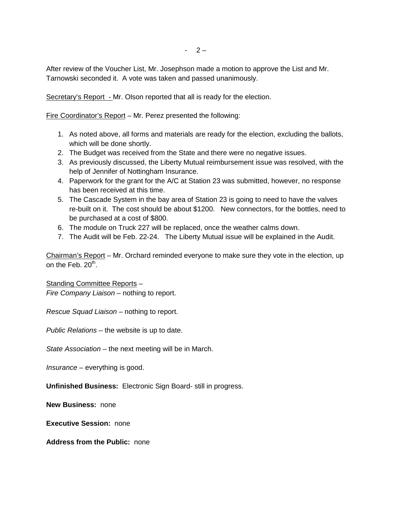$-2-$ 

After review of the Voucher List, Mr. Josephson made a motion to approve the List and Mr. Tarnowski seconded it. A vote was taken and passed unanimously.

Secretary's Report - Mr. Olson reported that all is ready for the election.

Fire Coordinator's Report – Mr. Perez presented the following:

- 1. As noted above, all forms and materials are ready for the election, excluding the ballots, which will be done shortly.
- 2. The Budget was received from the State and there were no negative issues.
- 3. As previously discussed, the Liberty Mutual reimbursement issue was resolved, with the help of Jennifer of Nottingham Insurance.
- 4. Paperwork for the grant for the A/C at Station 23 was submitted, however, no response has been received at this time.
- 5. The Cascade System in the bay area of Station 23 is going to need to have the valves re-built on it. The cost should be about \$1200. New connectors, for the bottles, need to be purchased at a cost of \$800.
- 6. The module on Truck 227 will be replaced, once the weather calms down.
- 7. The Audit will be Feb. 22-24. The Liberty Mutual issue will be explained in the Audit.

Chairman's Report – Mr. Orchard reminded everyone to make sure they vote in the election, up on the Feb. 20<sup>th</sup>.

Standing Committee Reports – *Fire Company Liaison –* nothing to report.

*Rescue Squad Liaison –* nothing to report.

*Public Relations –* the website is up to date.

*State Association –* the next meeting will be in March.

*Insurance –* everything is good.

**Unfinished Business:** Electronic Sign Board- still in progress.

**New Business:** none

**Executive Session:** none

**Address from the Public:** none